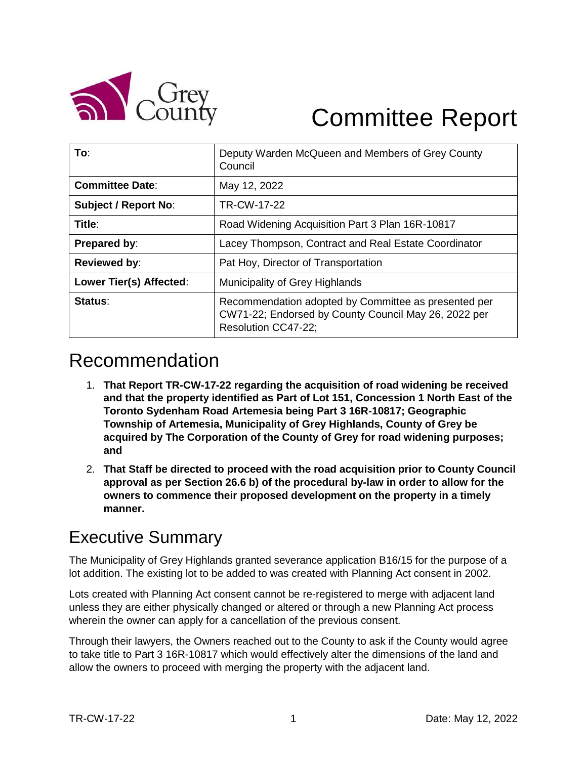

# Committee Report

| To:                         | Deputy Warden McQueen and Members of Grey County<br>Council                                                                         |
|-----------------------------|-------------------------------------------------------------------------------------------------------------------------------------|
| <b>Committee Date:</b>      | May 12, 2022                                                                                                                        |
| <b>Subject / Report No:</b> | TR-CW-17-22                                                                                                                         |
| Title:                      | Road Widening Acquisition Part 3 Plan 16R-10817                                                                                     |
| Prepared by:                | Lacey Thompson, Contract and Real Estate Coordinator                                                                                |
| <b>Reviewed by:</b>         | Pat Hoy, Director of Transportation                                                                                                 |
| Lower Tier(s) Affected:     | Municipality of Grey Highlands                                                                                                      |
| Status:                     | Recommendation adopted by Committee as presented per<br>CW71-22; Endorsed by County Council May 26, 2022 per<br>Resolution CC47-22; |

# Recommendation

- 1. **That Report TR-CW-17-22 regarding the acquisition of road widening be received and that the property identified as Part of Lot 151, Concession 1 North East of the Toronto Sydenham Road Artemesia being Part 3 16R-10817; Geographic Township of Artemesia, Municipality of Grey Highlands, County of Grey be acquired by The Corporation of the County of Grey for road widening purposes; and**
- 2. **That Staff be directed to proceed with the road acquisition prior to County Council approval as per Section 26.6 b) of the procedural by-law in order to allow for the owners to commence their proposed development on the property in a timely manner.**

### Executive Summary

The Municipality of Grey Highlands granted severance application B16/15 for the purpose of a lot addition. The existing lot to be added to was created with Planning Act consent in 2002.

Lots created with Planning Act consent cannot be re-registered to merge with adjacent land unless they are either physically changed or altered or through a new Planning Act process wherein the owner can apply for a cancellation of the previous consent.

Through their lawyers, the Owners reached out to the County to ask if the County would agree to take title to Part 3 16R-10817 which would effectively alter the dimensions of the land and allow the owners to proceed with merging the property with the adjacent land.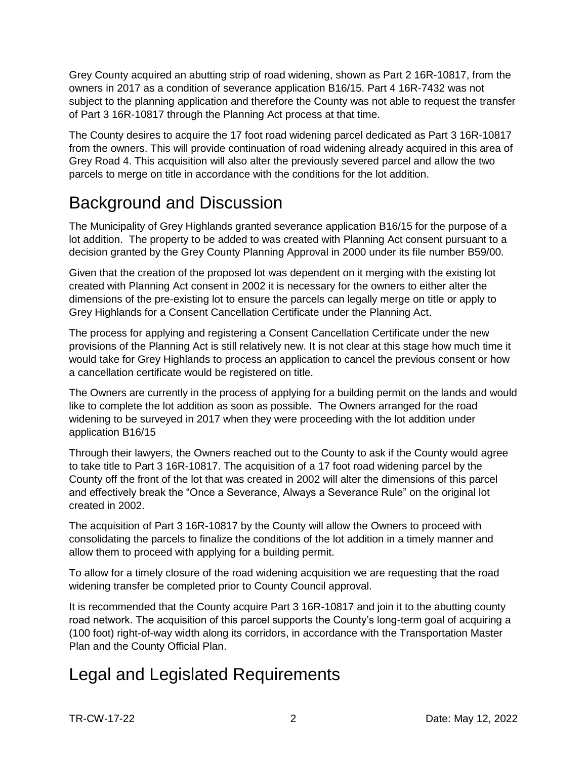Grey County acquired an abutting strip of road widening, shown as Part 2 16R-10817, from the owners in 2017 as a condition of severance application B16/15. Part 4 16R-7432 was not subject to the planning application and therefore the County was not able to request the transfer of Part 3 16R-10817 through the Planning Act process at that time.

The County desires to acquire the 17 foot road widening parcel dedicated as Part 3 16R-10817 from the owners. This will provide continuation of road widening already acquired in this area of Grey Road 4. This acquisition will also alter the previously severed parcel and allow the two parcels to merge on title in accordance with the conditions for the lot addition.

### Background and Discussion

The Municipality of Grey Highlands granted severance application B16/15 for the purpose of a lot addition. The property to be added to was created with Planning Act consent pursuant to a decision granted by the Grey County Planning Approval in 2000 under its file number B59/00.

Given that the creation of the proposed lot was dependent on it merging with the existing lot created with Planning Act consent in 2002 it is necessary for the owners to either alter the dimensions of the pre-existing lot to ensure the parcels can legally merge on title or apply to Grey Highlands for a Consent Cancellation Certificate under the Planning Act.

The process for applying and registering a Consent Cancellation Certificate under the new provisions of the Planning Act is still relatively new. It is not clear at this stage how much time it would take for Grey Highlands to process an application to cancel the previous consent or how a cancellation certificate would be registered on title.

The Owners are currently in the process of applying for a building permit on the lands and would like to complete the lot addition as soon as possible. The Owners arranged for the road widening to be surveyed in 2017 when they were proceeding with the lot addition under application B16/15

Through their lawyers, the Owners reached out to the County to ask if the County would agree to take title to Part 3 16R-10817. The acquisition of a 17 foot road widening parcel by the County off the front of the lot that was created in 2002 will alter the dimensions of this parcel and effectively break the "Once a Severance, Always a Severance Rule" on the original lot created in 2002.

The acquisition of Part 3 16R-10817 by the County will allow the Owners to proceed with consolidating the parcels to finalize the conditions of the lot addition in a timely manner and allow them to proceed with applying for a building permit.

To allow for a timely closure of the road widening acquisition we are requesting that the road widening transfer be completed prior to County Council approval.

It is recommended that the County acquire Part 3 16R-10817 and join it to the abutting county road network. The acquisition of this parcel supports the County's long-term goal of acquiring a (100 foot) right-of-way width along its corridors, in accordance with the Transportation Master Plan and the County Official Plan.

## Legal and Legislated Requirements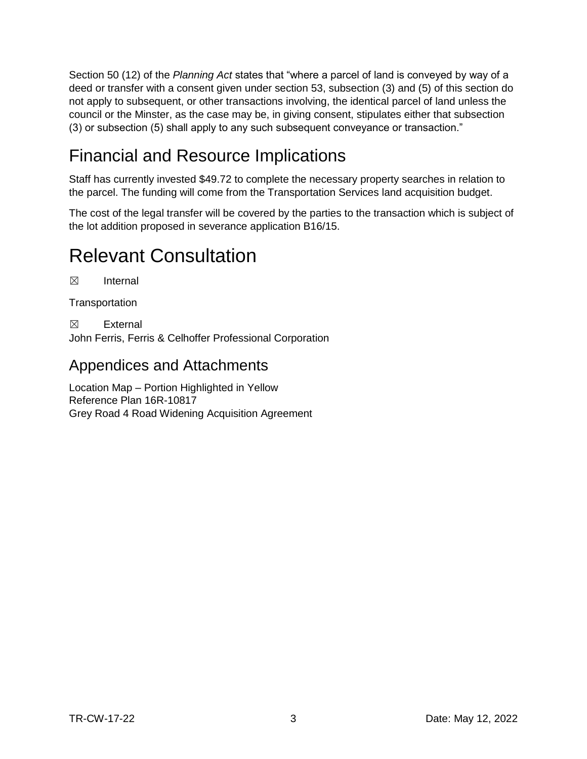Section 50 (12) of the *Planning Act* states that "where a parcel of land is conveyed by way of a deed or transfer with a consent given under section 53, subsection (3) and (5) of this section do not apply to subsequent, or other transactions involving, the identical parcel of land unless the council or the Minster, as the case may be, in giving consent, stipulates either that subsection (3) or subsection (5) shall apply to any such subsequent conveyance or transaction."

# Financial and Resource Implications

Staff has currently invested \$49.72 to complete the necessary property searches in relation to the parcel. The funding will come from the Transportation Services land acquisition budget.

The cost of the legal transfer will be covered by the parties to the transaction which is subject of the lot addition proposed in severance application B16/15.

# Relevant Consultation

☒ Internal

**Transportation** 

☒ External

John Ferris, Ferris & Celhoffer Professional Corporation

### Appendices and Attachments

Location Map – Portion Highlighted in Yellow Reference Plan 16R-10817 Grey Road 4 Road Widening Acquisition Agreement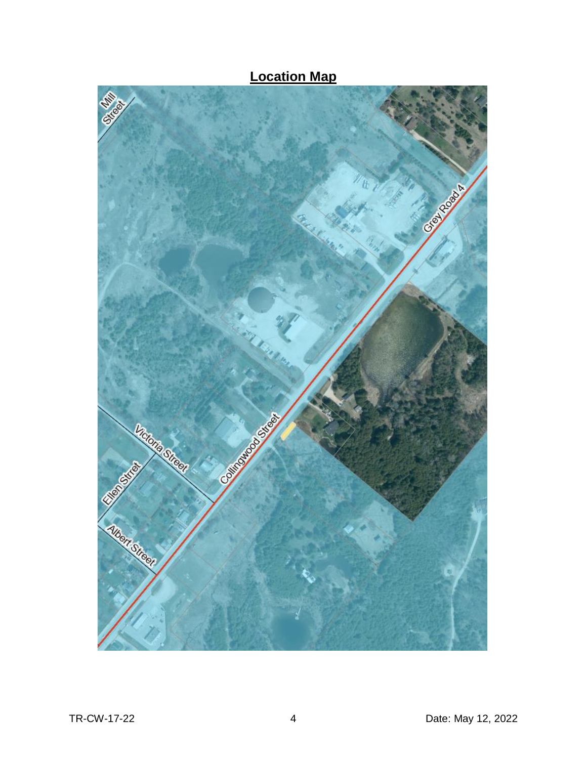

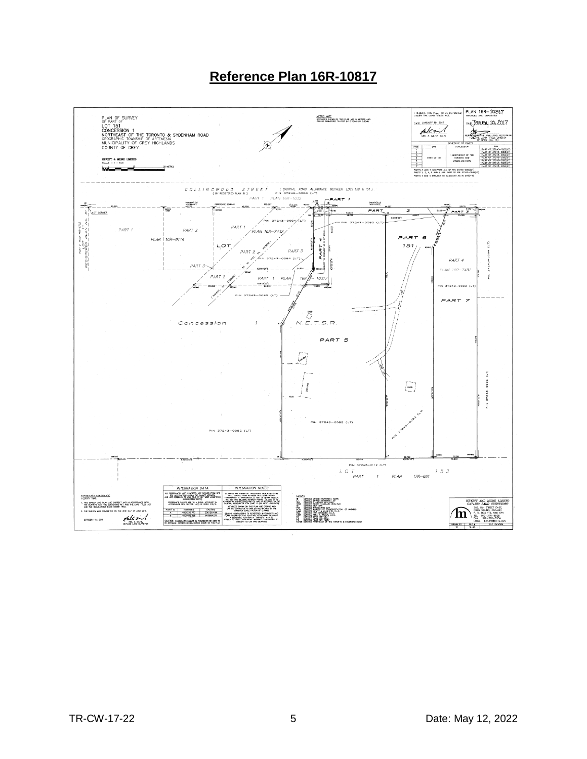### **Reference Plan 16R-10817**

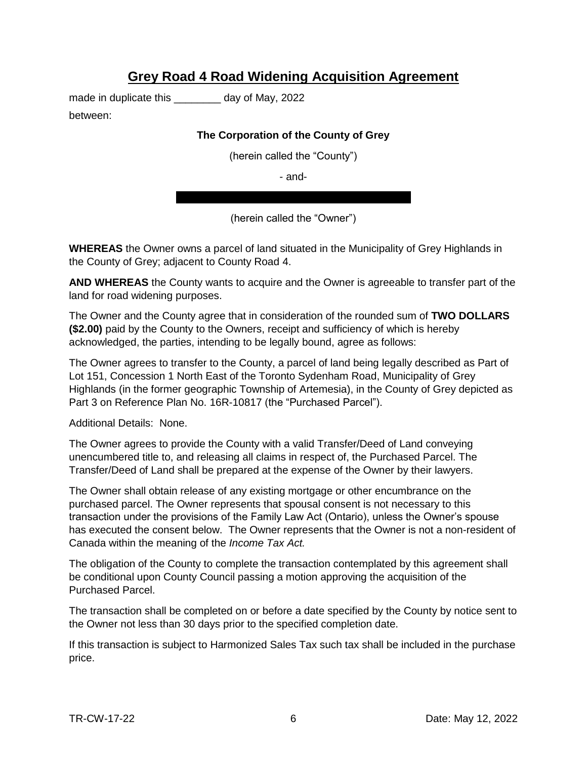### **Grey Road 4 Road Widening Acquisition Agreement**

made in duplicate this \_\_\_\_\_\_\_\_ day of May, 2022

between:

#### **The Corporation of the County of Grey**

(herein called the "County")

- and-

(herein called the "Owner")

**WHEREAS** the Owner owns a parcel of land situated in the Municipality of Grey Highlands in the County of Grey; adjacent to County Road 4.

**AND WHEREAS** the County wants to acquire and the Owner is agreeable to transfer part of the land for road widening purposes.

The Owner and the County agree that in consideration of the rounded sum of **TWO DOLLARS (\$2.00)** paid by the County to the Owners, receipt and sufficiency of which is hereby acknowledged, the parties, intending to be legally bound, agree as follows:

The Owner agrees to transfer to the County, a parcel of land being legally described as Part of Lot 151, Concession 1 North East of the Toronto Sydenham Road, Municipality of Grey Highlands (in the former geographic Township of Artemesia), in the County of Grey depicted as Part 3 on Reference Plan No. 16R-10817 (the "Purchased Parcel").

Additional Details: None.

The Owner agrees to provide the County with a valid Transfer/Deed of Land conveying unencumbered title to, and releasing all claims in respect of, the Purchased Parcel. The Transfer/Deed of Land shall be prepared at the expense of the Owner by their lawyers.

The Owner shall obtain release of any existing mortgage or other encumbrance on the purchased parcel. The Owner represents that spousal consent is not necessary to this transaction under the provisions of the Family Law Act (Ontario), unless the Owner's spouse has executed the consent below. The Owner represents that the Owner is not a non-resident of Canada within the meaning of the *Income Tax Act.*

The obligation of the County to complete the transaction contemplated by this agreement shall be conditional upon County Council passing a motion approving the acquisition of the Purchased Parcel.

The transaction shall be completed on or before a date specified by the County by notice sent to the Owner not less than 30 days prior to the specified completion date.

If this transaction is subject to Harmonized Sales Tax such tax shall be included in the purchase price.